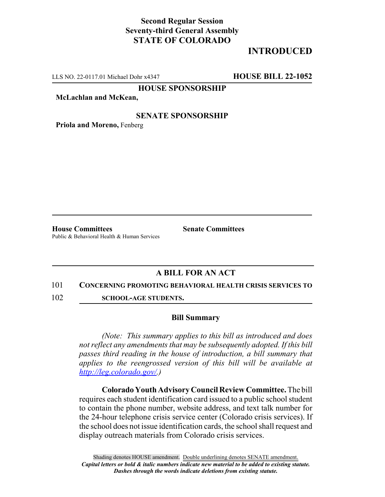# **Second Regular Session Seventy-third General Assembly STATE OF COLORADO**

# **INTRODUCED**

LLS NO. 22-0117.01 Michael Dohr x4347 **HOUSE BILL 22-1052**

**HOUSE SPONSORSHIP**

**McLachlan and McKean,**

### **SENATE SPONSORSHIP**

**Priola and Moreno,** Fenberg

**House Committees Senate Committees** Public & Behavioral Health & Human Services

## **A BILL FOR AN ACT**

#### 101 **CONCERNING PROMOTING BEHAVIORAL HEALTH CRISIS SERVICES TO**

102 **SCHOOL-AGE STUDENTS.**

### **Bill Summary**

*(Note: This summary applies to this bill as introduced and does not reflect any amendments that may be subsequently adopted. If this bill passes third reading in the house of introduction, a bill summary that applies to the reengrossed version of this bill will be available at http://leg.colorado.gov/.)*

**Colorado Youth Advisory Council Review Committee.** The bill requires each student identification card issued to a public school student to contain the phone number, website address, and text talk number for the 24-hour telephone crisis service center (Colorado crisis services). If the school does not issue identification cards, the school shall request and display outreach materials from Colorado crisis services.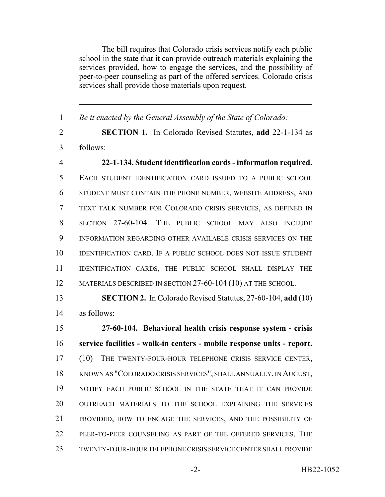The bill requires that Colorado crisis services notify each public school in the state that it can provide outreach materials explaining the services provided, how to engage the services, and the possibility of peer-to-peer counseling as part of the offered services. Colorado crisis services shall provide those materials upon request.

 *Be it enacted by the General Assembly of the State of Colorado:* **SECTION 1.** In Colorado Revised Statutes, **add** 22-1-134 as follows: **22-1-134. Student identification cards - information required.** EACH STUDENT IDENTIFICATION CARD ISSUED TO A PUBLIC SCHOOL STUDENT MUST CONTAIN THE PHONE NUMBER, WEBSITE ADDRESS, AND TEXT TALK NUMBER FOR COLORADO CRISIS SERVICES, AS DEFINED IN SECTION 27-60-104. THE PUBLIC SCHOOL MAY ALSO INCLUDE INFORMATION REGARDING OTHER AVAILABLE CRISIS SERVICES ON THE IDENTIFICATION CARD. IF A PUBLIC SCHOOL DOES NOT ISSUE STUDENT IDENTIFICATION CARDS, THE PUBLIC SCHOOL SHALL DISPLAY THE 12 MATERIALS DESCRIBED IN SECTION 27-60-104 (10) AT THE SCHOOL.

 **SECTION 2.** In Colorado Revised Statutes, 27-60-104, **add** (10) as follows:

 **27-60-104. Behavioral health crisis response system - crisis service facilities - walk-in centers - mobile response units - report.** (10) THE TWENTY-FOUR-HOUR TELEPHONE CRISIS SERVICE CENTER, KNOWN AS "COLORADO CRISIS SERVICES", SHALL ANNUALLY, IN AUGUST, NOTIFY EACH PUBLIC SCHOOL IN THE STATE THAT IT CAN PROVIDE OUTREACH MATERIALS TO THE SCHOOL EXPLAINING THE SERVICES PROVIDED, HOW TO ENGAGE THE SERVICES, AND THE POSSIBILITY OF PEER-TO-PEER COUNSELING AS PART OF THE OFFERED SERVICES. THE TWENTY-FOUR-HOUR TELEPHONE CRISIS SERVICE CENTER SHALL PROVIDE